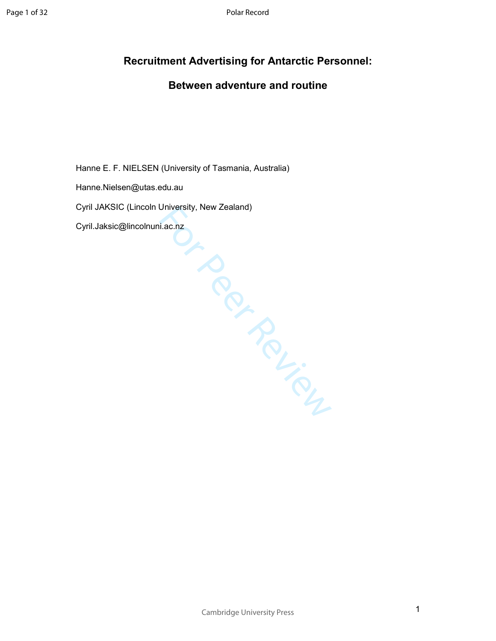# **Recruitment Advertising for Antarctic Personnel:**

# **Between adventure and routine**

Hanne E. F. NIELSEN (University of Tasmania, Australia)

Hanne.Nielsen@utas.edu.au

.y. Ne. Cyril JAKSIC (Lincoln University, New Zealand)

Cyril.Jaksic@lincolnuni.ac.nz

Cambridge University Press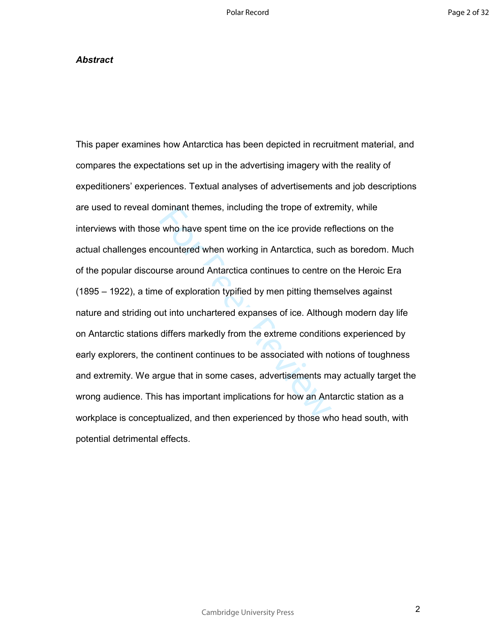## *Abstract*

betwind themes, including the trope of extrement who have spent time on the ice provide recountered when working in Antarctica, such<br>times around Antarctica continues to centre of<br>e of exploration typified by men pitting t This paper examines how Antarctica has been depicted in recruitment material, and compares the expectations set up in the advertising imagery with the reality of expeditioners' experiences. Textual analyses of advertisements and job descriptions are used to reveal dominant themes, including the trope of extremity, while interviews with those who have spent time on the ice provide reflections on the actual challenges encountered when working in Antarctica, such as boredom. Much of the popular discourse around Antarctica continues to centre on the Heroic Era (1895 – 1922), a time of exploration typified by men pitting themselves against nature and striding out into unchartered expanses of ice. Although modern day life on Antarctic stations differs markedly from the extreme conditions experienced by early explorers, the continent continues to be associated with notions of toughness and extremity. We argue that in some cases, advertisements may actually target the wrong audience. This has important implications for how an Antarctic station as a workplace is conceptualized, and then experienced by those who head south, with potential detrimental effects.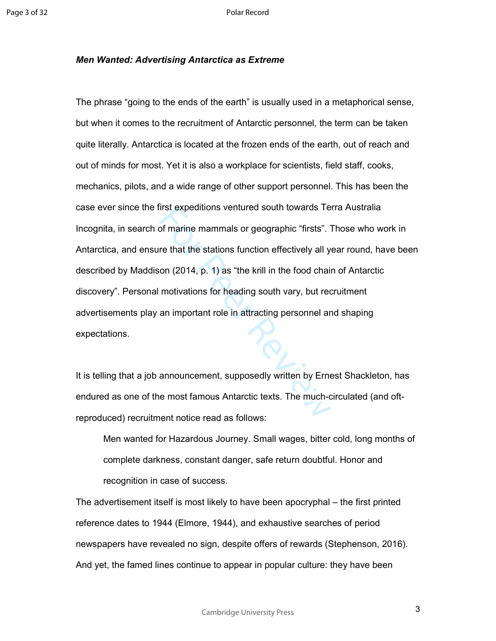### *Men Wanted: Advertising Antarctica as Extreme*

Irst expeditions ventured south towards Te<br>of marine mammals or geographic "firsts". T<br>re that the stations function effectively all yer<br>on (2014, p. 1) as "the krill in the food chair<br>motivations for heading south vary, b The phrase "going to the ends of the earth" is usually used in a metaphorical sense, but when it comes to the recruitment of Antarctic personnel, the term can be taken quite literally. Antarctica is located at the frozen ends of the earth, out of reach and out of minds for most. Yet it is also a workplace for scientists, field staff, cooks, mechanics, pilots, and a wide range of other support personnel. This has been the case ever since the first expeditions ventured south towards Terra Australia Incognita, in search of marine mammals or geographic "firsts". Those who work in Antarctica, and ensure that the stations function effectively all year round, have been described by Maddison (2014, p. 1) as "the krill in the food chain of Antarctic discovery". Personal motivations for heading south vary, but recruitment advertisements play an important role in attracting personnel and shaping expectations.

It is telling that a job announcement, supposedly written by Ernest Shackleton, has endured as one of the most famous Antarctic texts. The much-circulated (and oftreproduced) recruitment notice read as follows:

Men wanted for Hazardous Journey. Small wages, bitter cold, long months of complete darkness, constant danger, safe return doubtful. Honor and recognition in case of success.

The advertisement itself is most likely to have been apocryphal – the first printed reference dates to 1944 (Elmore, 1944), and exhaustive searches of period newspapers have revealed no sign, despite offers of rewards (Stephenson, 2016). And yet, the famed lines continue to appear in popular culture: they have been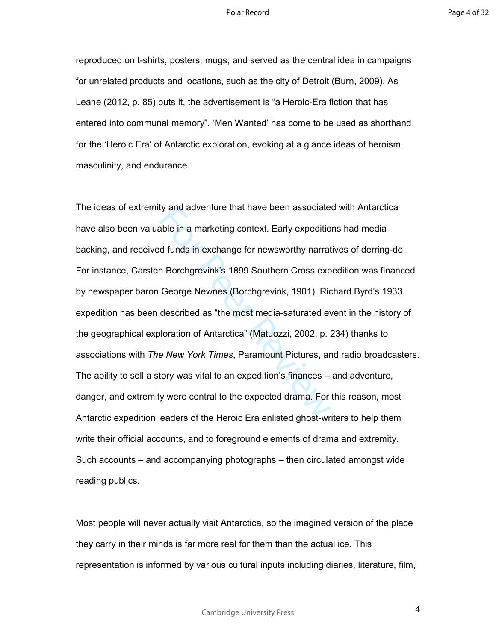reproduced on t-shirts, posters, mugs, and served as the central idea in campaigns for unrelated products and locations, such as the city of Detroit (Burn, 2009). As Leane (2012, p. 85) puts it, the advertisement is "a Heroic-Era fiction that has entered into communal memory". 'Men Wanted' has come to be used as shorthand for the 'Heroic Era' of Antarctic exploration, evoking at a glance ideas of heroism, masculinity, and endurance.

ty and adventure that have been associated<br>able in a marketing context. Early expeditio<br>d funds in exchange for newsworthy narrat<br>n Borchgrevink's 1899 Southern Cross exp<br>George Newnes (Borchgrevink, 1901). Ric<br>described a The ideas of extremity and adventure that have been associated with Antarctica have also been valuable in a marketing context. Early expeditions had media backing, and received funds in exchange for newsworthy narratives of derring-do. For instance, Carsten Borchgrevink's 1899 Southern Cross expedition was financed by newspaper baron George Newnes (Borchgrevink, 1901). Richard Byrd's 1933 expedition has been described as "the most media-saturated event in the history of the geographical exploration of Antarctica" (Matuozzi, 2002, p. 234) thanks to associations with *The New York Times*, Paramount Pictures, and radio broadcasters. The ability to sell a story was vital to an expedition's finances – and adventure, danger, and extremity were central to the expected drama. For this reason, most Antarctic expedition leaders of the Heroic Era enlisted ghost-writers to help them write their official accounts, and to foreground elements of drama and extremity. Such accounts – and accompanying photographs – then circulated amongst wide reading publics.

Most people will never actually visit Antarctica, so the imagined version of the place they carry in their minds is far more real for them than the actual ice. This representation is informed by various cultural inputs including diaries, literature, film,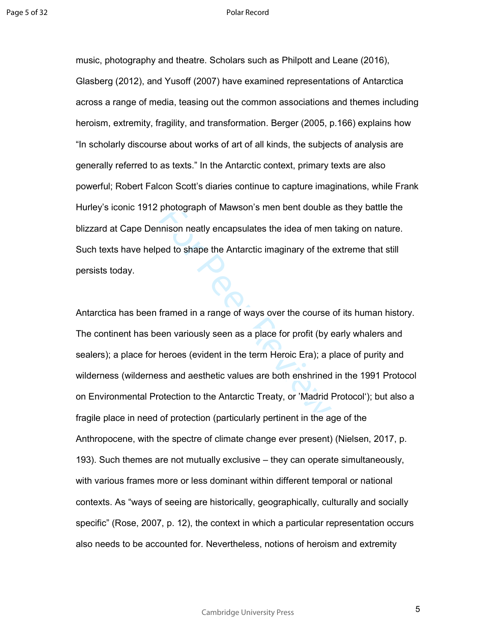music, photography and theatre. Scholars such as Philpott and Leane (2016), Glasberg (2012), and Yusoff (2007) have examined representations of Antarctica across a range of media, teasing out the common associations and themes including heroism, extremity, fragility, and transformation. Berger (2005, p.166) explains how "In scholarly discourse about works of art of all kinds, the subjects of analysis are generally referred to as texts." In the Antarctic context, primary texts are also powerful; Robert Falcon Scott's diaries continue to capture imaginations, while Frank Hurley's iconic 1912 photograph of Mawson's men bent double as they battle the blizzard at Cape Dennison neatly encapsulates the idea of men taking on nature. Such texts have helped to shape the Antarctic imaginary of the extreme that still persists today.

photograph of Mawson's men bent double<br>nison neatly encapsulates the idea of men<br>ed to shape the Antarctic imaginary of the<br>framed in a range of ways over the course<br>een variously seen as a place for profit (by  $\epsilon$ <br>heroes Antarctica has been framed in a range of ways over the course of its human history. The continent has been variously seen as a place for profit (by early whalers and sealers); a place for heroes (evident in the term Heroic Era); a place of purity and wilderness (wilderness and aesthetic values are both enshrined in the 1991 Protocol on Environmental Protection to the Antarctic Treaty, or 'Madrid Protocol'); but also a fragile place in need of protection (particularly pertinent in the age of the Anthropocene, with the spectre of climate change ever present) (Nielsen, 2017, p. 193). Such themes are not mutually exclusive – they can operate simultaneously, with various frames more or less dominant within different temporal or national contexts. As "ways of seeing are historically, geographically, culturally and socially specific" (Rose, 2007, p. 12), the context in which a particular representation occurs also needs to be accounted for. Nevertheless, notions of heroism and extremity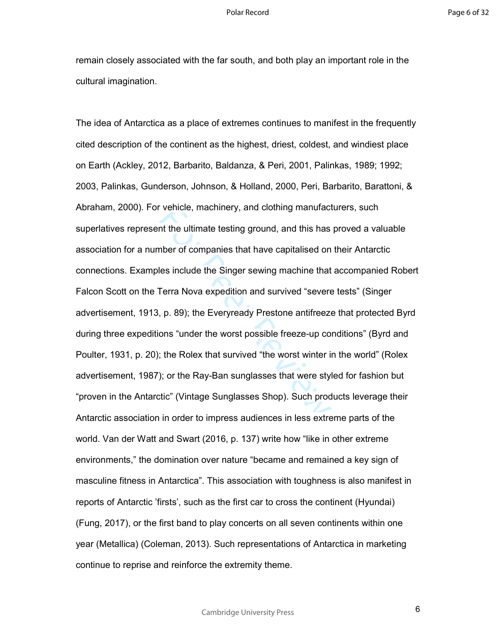remain closely associated with the far south, and both play an important role in the cultural imagination.

Frencie, machinery, and clothing manutact<br>the ultimate testing ground, and this has<br>nber of companies that have capitalised on<br>les include the Singer sewing machine that<br>Terra Nova expedition and survived "severe<br>p. p. 89) The idea of Antarctica as a place of extremes continues to manifest in the frequently cited description of the continent as the highest, driest, coldest, and windiest place on Earth (Ackley, 2012, Barbarito, Baldanza, & Peri, 2001, Palinkas, 1989; 1992; 2003, Palinkas, Gunderson, Johnson, & Holland, 2000, Peri, Barbarito, Barattoni, & Abraham, 2000). For vehicle, machinery, and clothing manufacturers, such superlatives represent the ultimate testing ground, and this has proved a valuable association for a number of companies that have capitalised on their Antarctic connections. Examples include the Singer sewing machine that accompanied Robert Falcon Scott on the Terra Nova expedition and survived "severe tests" (Singer advertisement, 1913, p. 89); the Everyready Prestone antifreeze that protected Byrd during three expeditions "under the worst possible freeze-up conditions" (Byrd and Poulter, 1931, p. 20); the Rolex that survived "the worst winter in the world" (Rolex advertisement, 1987); or the Ray-Ban sunglasses that were styled for fashion but "proven in the Antarctic" (Vintage Sunglasses Shop). Such products leverage their Antarctic association in order to impress audiences in less extreme parts of the world. Van der Watt and Swart (2016, p. 137) write how "like in other extreme environments," the domination over nature "became and remained a key sign of masculine fitness in Antarctica". This association with toughness is also manifest in reports of Antarctic 'firsts', such as the first car to cross the continent (Hyundai) (Fung, 2017), or the first band to play concerts on all seven continents within one year (Metallica) (Coleman, 2013). Such representations of Antarctica in marketing continue to reprise and reinforce the extremity theme.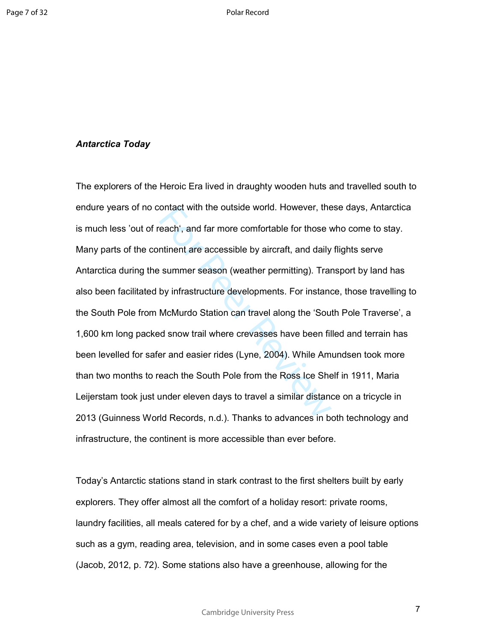## *Antarctica Today*

ontact with the outside world. However, the<br>each', and far more comfortable for those v<br>ntinent are accessible by aircraft, and daily<br>summer season (weather permitting). Trar<br>by infrastructure developments. For instant<br>McM The explorers of the Heroic Era lived in draughty wooden huts and travelled south to endure years of no contact with the outside world. However, these days, Antarctica is much less 'out of reach', and far more comfortable for those who come to stay. Many parts of the continent are accessible by aircraft, and daily flights serve Antarctica during the summer season (weather permitting). Transport by land has also been facilitated by infrastructure developments. For instance, those travelling to the South Pole from McMurdo Station can travel along the 'South Pole Traverse', a 1,600 km long packed snow trail where crevasses have been filled and terrain has been levelled for safer and easier rides (Lyne, 2004). While Amundsen took more than two months to reach the South Pole from the Ross Ice Shelf in 1911, Maria Leijerstam took just under eleven days to travel a similar distance on a tricycle in 2013 (Guinness World Records, n.d.). Thanks to advances in both technology and infrastructure, the continent is more accessible than ever before.

Today's Antarctic stations stand in stark contrast to the first shelters built by early explorers. They offer almost all the comfort of a holiday resort: private rooms, laundry facilities, all meals catered for by a chef, and a wide variety of leisure options such as a gym, reading area, television, and in some cases even a pool table (Jacob, 2012, p. 72). Some stations also have a greenhouse, allowing for the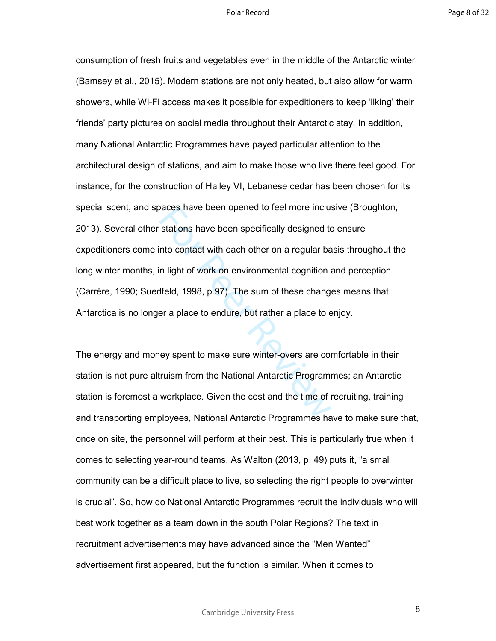baces have been opened to reel more inclustrations have been specifically designed to<br>tho contact with each other on a regular ball in light of work on environmental cognition affeld, 1998, p.97). The sum of these changer<br> consumption of fresh fruits and vegetables even in the middle of the Antarctic winter (Bamsey et al., 2015). Modern stations are not only heated, but also allow for warm showers, while Wi-Fi access makes it possible for expeditioners to keep 'liking' their friends' party pictures on social media throughout their Antarctic stay. In addition, many National Antarctic Programmes have payed particular attention to the architectural design of stations, and aim to make those who live there feel good. For instance, for the construction of Halley VI, Lebanese cedar has been chosen for its special scent, and spaces have been opened to feel more inclusive (Broughton, 2013). Several other stations have been specifically designed to ensure expeditioners come into contact with each other on a regular basis throughout the long winter months, in light of work on environmental cognition and perception (Carrère, 1990; Suedfeld, 1998, p.97). The sum of these changes means that Antarctica is no longer a place to endure, but rather a place to enjoy.

The energy and money spent to make sure winter-overs are comfortable in their station is not pure altruism from the National Antarctic Programmes; an Antarctic station is foremost a workplace. Given the cost and the time of recruiting, training and transporting employees, National Antarctic Programmes have to make sure that, once on site, the personnel will perform at their best. This is particularly true when it comes to selecting year-round teams. As Walton (2013, p. 49) puts it, "a small community can be a difficult place to live, so selecting the right people to overwinter is crucial". So, how do National Antarctic Programmes recruit the individuals who will best work together as a team down in the south Polar Regions? The text in recruitment advertisements may have advanced since the "Men Wanted" advertisement first appeared, but the function is similar. When it comes to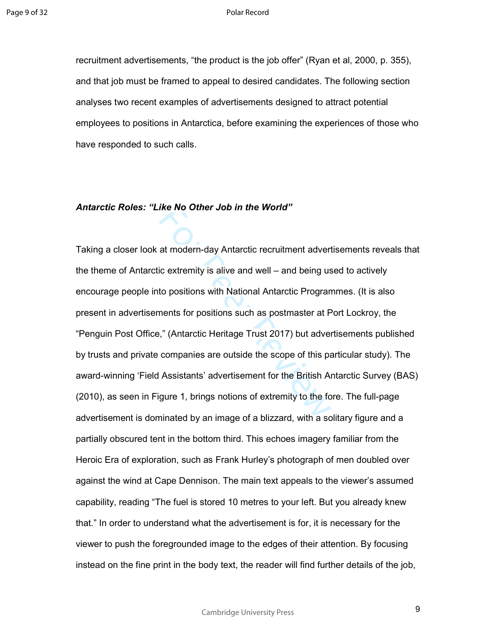recruitment advertisements, "the product is the job offer" (Ryan et al, 2000, p. 355), and that job must be framed to appeal to desired candidates. The following section analyses two recent examples of advertisements designed to attract potential employees to positions in Antarctica, before examining the experiences of those who have responded to such calls.

### *Antarctic Roles: "Like No Other Job in the World"*

IKE NO Other Job In the World"<br>at modern-day Antarctic recruitment advert<br>ic extremity is alive and well – and being us<br>to positions with National Antarctic Progran<br>nents for positions such as postmaster at P<br>," (Antarctic Taking a closer look at modern-day Antarctic recruitment advertisements reveals that the theme of Antarctic extremity is alive and well – and being used to actively encourage people into positions with National Antarctic Programmes. (It is also present in advertisements for positions such as postmaster at Port Lockroy, the "Penguin Post Office," (Antarctic Heritage Trust 2017) but advertisements published by trusts and private companies are outside the scope of this particular study). The award-winning 'Field Assistants' advertisement for the British Antarctic Survey (BAS) (2010), as seen in Figure 1, brings notions of extremity to the fore. The full-page advertisement is dominated by an image of a blizzard, with a solitary figure and a partially obscured tent in the bottom third. This echoes imagery familiar from the Heroic Era of exploration, such as Frank Hurley's photograph of men doubled over against the wind at Cape Dennison. The main text appeals to the viewer's assumed capability, reading "The fuel is stored 10 metres to your left. But you already knew that." In order to understand what the advertisement is for, it is necessary for the viewer to push the foregrounded image to the edges of their attention. By focusing instead on the fine print in the body text, the reader will find further details of the job,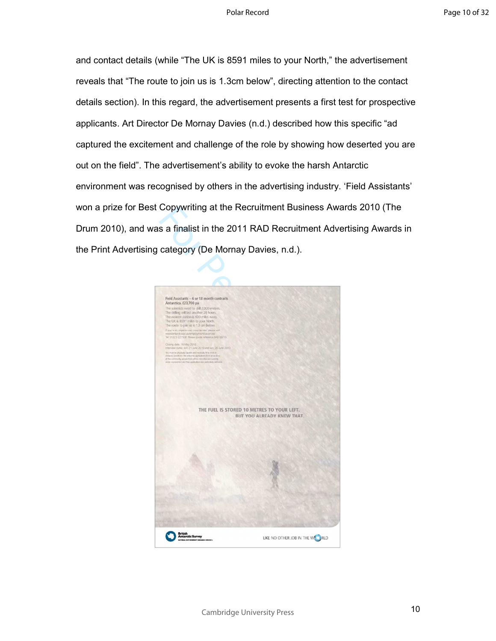and contact details (while "The UK is 8591 miles to your North," the advertisement reveals that "The route to join us is 1.3cm below", directing attention to the contact details section). In this regard, the advertisement presents a first test for prospective applicants. Art Director De Mornay Davies (n.d.) described how this specific "ad captured the excitement and challenge of the role by showing how deserted you are out on the field". The advertisement's ability to evoke the harsh Antarctic environment was recognised by others in the advertising industry. 'Field Assistants' won a prize for Best Copywriting at the Recruitment Business Awards 2010 (The Drum 2010), and was a finalist in the 2011 RAD Recruitment Advertising Awards in the Print Advertising category (De Mornay Davies, n.d.).

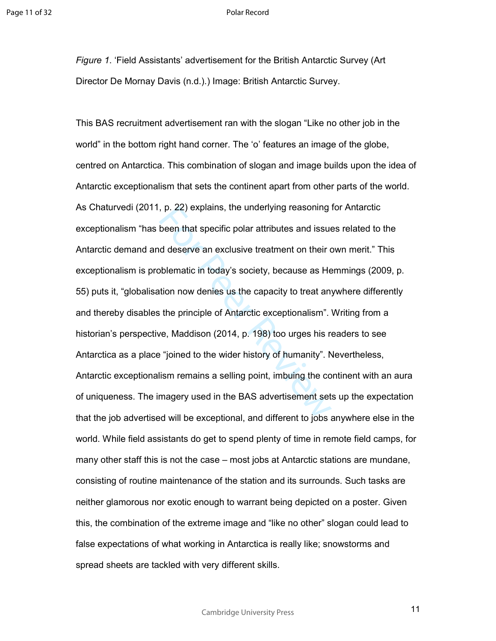*Figure 1*. 'Field Assistants' advertisement for the British Antarctic Survey (Art Director De Mornay Davis (n.d.).) Image: British Antarctic Survey.

, p. 22) explains, the underlying reasoning<br>been that specific polar attributes and issue<br>d deserve an exclusive treatment on their c<br>bblematic in today's society, because as He<br>tition now denies us the capacity to treat a This BAS recruitment advertisement ran with the slogan "Like no other job in the world" in the bottom right hand corner. The 'o' features an image of the globe, centred on Antarctica. This combination of slogan and image builds upon the idea of Antarctic exceptionalism that sets the continent apart from other parts of the world. As Chaturvedi (2011, p. 22) explains, the underlying reasoning for Antarctic exceptionalism "has been that specific polar attributes and issues related to the Antarctic demand and deserve an exclusive treatment on their own merit." This exceptionalism is problematic in today's society, because as Hemmings (2009, p. 55) puts it, "globalisation now denies us the capacity to treat anywhere differently and thereby disables the principle of Antarctic exceptionalism". Writing from a historian's perspective, Maddison (2014, p. 198) too urges his readers to see Antarctica as a place "joined to the wider history of humanity". Nevertheless, Antarctic exceptionalism remains a selling point, imbuing the continent with an aura of uniqueness. The imagery used in the BAS advertisement sets up the expectation that the job advertised will be exceptional, and different to jobs anywhere else in the world. While field assistants do get to spend plenty of time in remote field camps, for many other staff this is not the case – most jobs at Antarctic stations are mundane, consisting of routine maintenance of the station and its surrounds. Such tasks are neither glamorous nor exotic enough to warrant being depicted on a poster. Given this, the combination of the extreme image and "like no other" slogan could lead to false expectations of what working in Antarctica is really like; snowstorms and spread sheets are tackled with very different skills.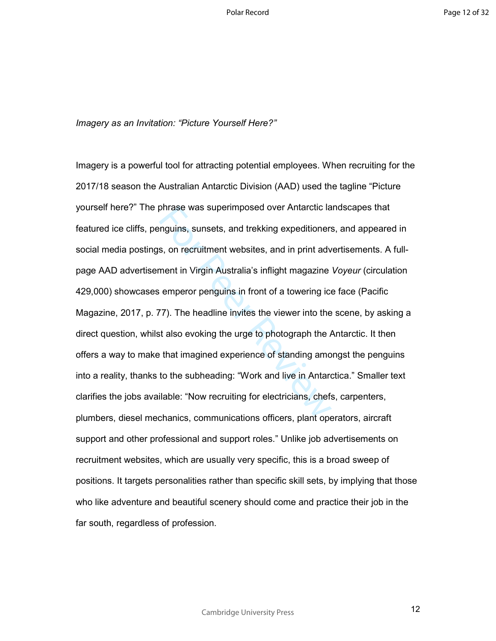*Imagery as an Invitation: "Picture Yourself Here?"* 

phrase was superimposed over Antarctic lam<br>guins, sunsets, and trekking expeditioners<br>s, on recruitment websites, and in print adv<br>ment in Virgin Australia's inflight magazine<br>emperor penguins in front of a towering ice<br>em Imagery is a powerful tool for attracting potential employees. When recruiting for the 2017/18 season the Australian Antarctic Division (AAD) used the tagline "Picture yourself here?" The phrase was superimposed over Antarctic landscapes that featured ice cliffs, penguins, sunsets, and trekking expeditioners, and appeared in social media postings, on recruitment websites, and in print advertisements. A fullpage AAD advertisement in Virgin Australia's inflight magazine *Voyeur* (circulation 429,000) showcases emperor penguins in front of a towering ice face (Pacific Magazine, 2017, p. 77). The headline invites the viewer into the scene, by asking a direct question, whilst also evoking the urge to photograph the Antarctic. It then offers a way to make that imagined experience of standing amongst the penguins into a reality, thanks to the subheading: "Work and live in Antarctica." Smaller text clarifies the jobs available: "Now recruiting for electricians, chefs, carpenters, plumbers, diesel mechanics, communications officers, plant operators, aircraft support and other professional and support roles." Unlike job advertisements on recruitment websites, which are usually very specific, this is a broad sweep of positions. It targets personalities rather than specific skill sets, by implying that those who like adventure and beautiful scenery should come and practice their job in the far south, regardless of profession.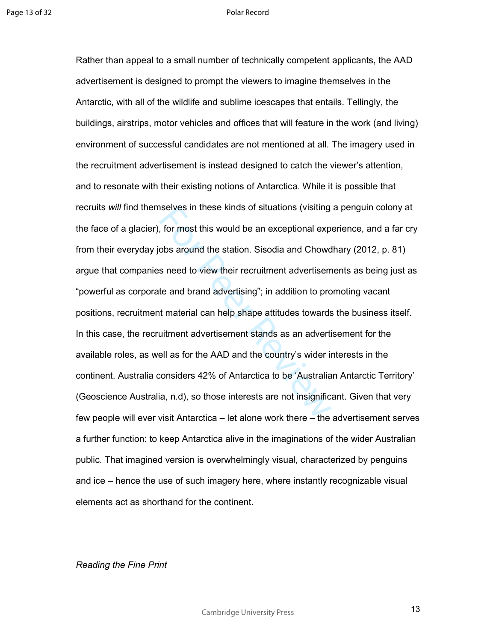selves in these kinds of situations (visiting<br>for most this would be an exceptional exp<br>obs around the station. Sisodia and Chowd<br>s need to view their recruitment advertisem<br>te and brand advertising"; in addition to pro<br>it Rather than appeal to a small number of technically competent applicants, the AAD advertisement is designed to prompt the viewers to imagine themselves in the Antarctic, with all of the wildlife and sublime icescapes that entails. Tellingly, the buildings, airstrips, motor vehicles and offices that will feature in the work (and living) environment of successful candidates are not mentioned at all. The imagery used in the recruitment advertisement is instead designed to catch the viewer's attention, and to resonate with their existing notions of Antarctica. While it is possible that recruits *will* find themselves in these kinds of situations (visiting a penguin colony at the face of a glacier), for most this would be an exceptional experience, and a far cry from their everyday jobs around the station. Sisodia and Chowdhary (2012, p. 81) argue that companies need to view their recruitment advertisements as being just as "powerful as corporate and brand advertising"; in addition to promoting vacant positions, recruitment material can help shape attitudes towards the business itself. In this case, the recruitment advertisement stands as an advertisement for the available roles, as well as for the AAD and the country's wider interests in the continent. Australia considers 42% of Antarctica to be 'Australian Antarctic Territory' (Geoscience Australia, n.d), so those interests are not insignificant. Given that very few people will ever visit Antarctica – let alone work there – the advertisement serves a further function: to keep Antarctica alive in the imaginations of the wider Australian public. That imagined version is overwhelmingly visual, characterized by penguins and ice – hence the use of such imagery here, where instantly recognizable visual elements act as shorthand for the continent.

# *Reading the Fine Print*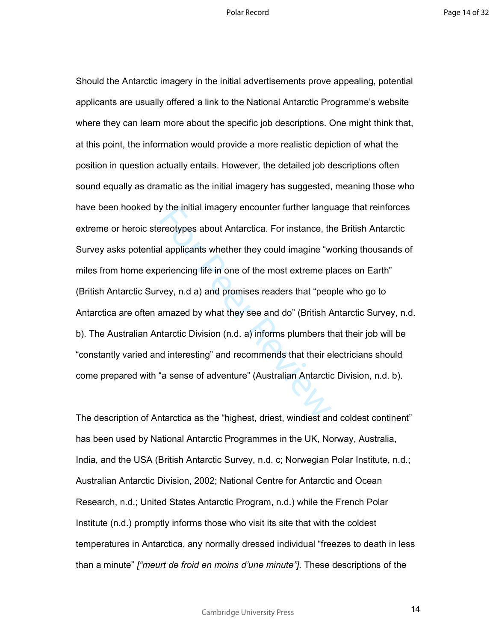by the initial imagery encounter further languare<br>ereotypes about Antarctica. For instance, the proposition of the most extreme pl<br>vey, n.d a) and promises readers that "peo<br>amazed by what they see and do" (British A<br>tarct Should the Antarctic imagery in the initial advertisements prove appealing, potential applicants are usually offered a link to the National Antarctic Programme's website where they can learn more about the specific job descriptions. One might think that, at this point, the information would provide a more realistic depiction of what the position in question actually entails. However, the detailed job descriptions often sound equally as dramatic as the initial imagery has suggested, meaning those who have been hooked by the initial imagery encounter further language that reinforces extreme or heroic stereotypes about Antarctica. For instance, the British Antarctic Survey asks potential applicants whether they could imagine "working thousands of miles from home experiencing life in one of the most extreme places on Earth" (British Antarctic Survey, n.d a) and promises readers that "people who go to Antarctica are often amazed by what they see and do" (British Antarctic Survey, n.d. b). The Australian Antarctic Division (n.d. a) informs plumbers that their job will be "constantly varied and interesting" and recommends that their electricians should come prepared with "a sense of adventure" (Australian Antarctic Division, n.d. b).

The description of Antarctica as the "highest, driest, windiest and coldest continent" has been used by National Antarctic Programmes in the UK, Norway, Australia, India, and the USA (British Antarctic Survey, n.d. c; Norwegian Polar Institute, n.d.; Australian Antarctic Division, 2002; National Centre for Antarctic and Ocean Research, n.d.; United States Antarctic Program, n.d.) while the French Polar Institute (n.d.) promptly informs those who visit its site that with the coldest temperatures in Antarctica, any normally dressed individual "freezes to death in less than a minute" *["meurt de froid en moins d'une minute"].* These descriptions of the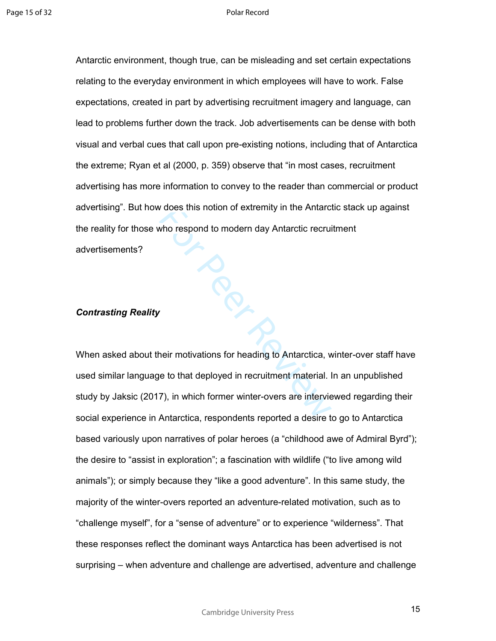Per R Antarctic environment, though true, can be misleading and set certain expectations relating to the everyday environment in which employees will have to work. False expectations, created in part by advertising recruitment imagery and language, can lead to problems further down the track. Job advertisements can be dense with both visual and verbal cues that call upon pre-existing notions, including that of Antarctica the extreme; Ryan et al (2000, p. 359) observe that "in most cases, recruitment advertising has more information to convey to the reader than commercial or product advertising". But how does this notion of extremity in the Antarctic stack up against the reality for those who respond to modern day Antarctic recruitment advertisements?

# *Contrasting Reality*

When asked about their motivations for heading to Antarctica, winter-over staff have used similar language to that deployed in recruitment material. In an unpublished study by Jaksic (2017), in which former winter-overs are interviewed regarding their social experience in Antarctica, respondents reported a desire to go to Antarctica based variously upon narratives of polar heroes (a "childhood awe of Admiral Byrd"); the desire to "assist in exploration"; a fascination with wildlife ("to live among wild animals"); or simply because they "like a good adventure". In this same study, the majority of the winter-overs reported an adventure-related motivation, such as to "challenge myself", for a "sense of adventure" or to experience "wilderness". That these responses reflect the dominant ways Antarctica has been advertised is not surprising – when adventure and challenge are advertised, adventure and challenge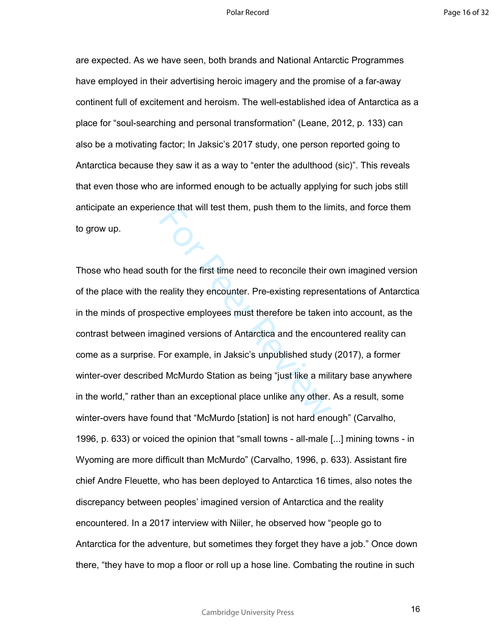Page 16 of 32

are expected. As we have seen, both brands and National Antarctic Programmes have employed in their advertising heroic imagery and the promise of a far-away continent full of excitement and heroism. The well-established idea of Antarctica as a place for "soul-searching and personal transformation" (Leane, 2012, p. 133) can also be a motivating factor; In Jaksic's 2017 study, one person reported going to Antarctica because they saw it as a way to "enter the adulthood (sic)". This reveals that even those who are informed enough to be actually applying for such jobs still anticipate an experience that will test them, push them to the limits, and force them to grow up.

For enat will test them, push them to the line<br>th for the first time need to reconcile their c<br>reality they encounter. Pre-existing represe<br>bective employees must therefore be taken<br>agined versions of Antarctica and the en Those who head south for the first time need to reconcile their own imagined version of the place with the reality they encounter. Pre-existing representations of Antarctica in the minds of prospective employees must therefore be taken into account, as the contrast between imagined versions of Antarctica and the encountered reality can come as a surprise. For example, in Jaksic's unpublished study (2017), a former winter-over described McMurdo Station as being "just like a military base anywhere in the world," rather than an exceptional place unlike any other. As a result, some winter-overs have found that "McMurdo [station] is not hard enough" (Carvalho, 1996, p. 633) or voiced the opinion that "small towns - all-male [...] mining towns - in Wyoming are more difficult than McMurdo" (Carvalho, 1996, p. 633). Assistant fire chief Andre Fleuette, who has been deployed to Antarctica 16 times, also notes the discrepancy between peoples' imagined version of Antarctica and the reality encountered. In a 2017 interview with Niiler, he observed how "people go to Antarctica for the adventure, but sometimes they forget they have a job." Once down there, "they have to mop a floor or roll up a hose line. Combating the routine in such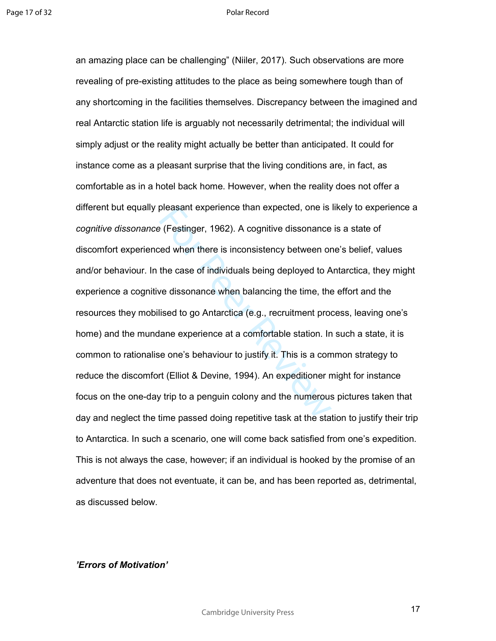pleasant experience than expected, one is<br>
ed when there is inconsistency between or<br>
the case of individuals being deployed to A<br>
ve dissonance when balancing the time, the<br>
lised to go Antarctica (e.g., recruitment prod<br> an amazing place can be challenging" (Niiler, 2017). Such observations are more revealing of pre-existing attitudes to the place as being somewhere tough than of any shortcoming in the facilities themselves. Discrepancy between the imagined and real Antarctic station life is arguably not necessarily detrimental; the individual will simply adjust or the reality might actually be better than anticipated. It could for instance come as a pleasant surprise that the living conditions are, in fact, as comfortable as in a hotel back home. However, when the reality does not offer a different but equally pleasant experience than expected, one is likely to experience a *cognitive dissonance* (Festinger, 1962). A cognitive dissonance is a state of discomfort experienced when there is inconsistency between one's belief, values and/or behaviour. In the case of individuals being deployed to Antarctica, they might experience a cognitive dissonance when balancing the time, the effort and the resources they mobilised to go Antarctica (e.g., recruitment process, leaving one's home) and the mundane experience at a comfortable station. In such a state, it is common to rationalise one's behaviour to justify it. This is a common strategy to reduce the discomfort (Elliot & Devine, 1994). An expeditioner might for instance focus on the one-day trip to a penguin colony and the numerous pictures taken that day and neglect the time passed doing repetitive task at the station to justify their trip to Antarctica. In such a scenario, one will come back satisfied from one's expedition. This is not always the case, however; if an individual is hooked by the promise of an adventure that does not eventuate, it can be, and has been reported as, detrimental, as discussed below.

# *'Errors of Motivation'*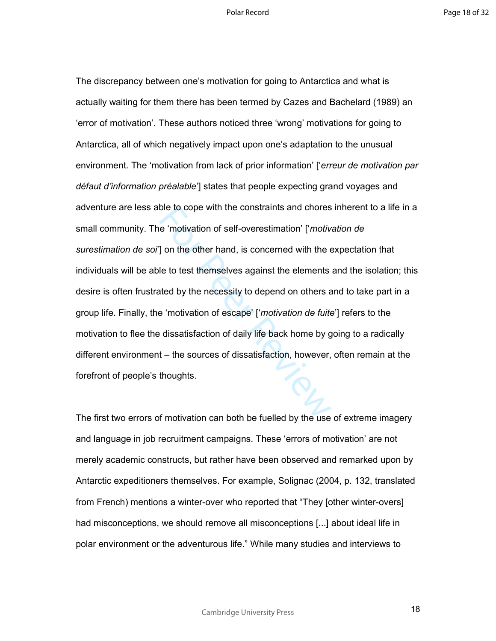ble to cope with the constraints and chores<br>e 'motivation of self-overestimation' ['*motiv*] on the other hand, is concerned with the  $\epsilon$ <br>le to test themselves against the elements<br>ated by the necessity to depend on other The discrepancy between one's motivation for going to Antarctica and what is actually waiting for them there has been termed by Cazes and Bachelard (1989) an 'error of motivation'. These authors noticed three 'wrong' motivations for going to Antarctica, all of which negatively impact upon one's adaptation to the unusual environment. The 'motivation from lack of prior information' ['*erreur de motivation par défaut d'information préalable*'] states that people expecting grand voyages and adventure are less able to cope with the constraints and chores inherent to a life in a small community. The 'motivation of self-overestimation' ['*motivation de surestimation de soi*'] on the other hand, is concerned with the expectation that individuals will be able to test themselves against the elements and the isolation; this desire is often frustrated by the necessity to depend on others and to take part in a group life. Finally, the 'motivation of escape' ['*motivation de fuite*'] refers to the motivation to flee the dissatisfaction of daily life back home by going to a radically different environment – the sources of dissatisfaction, however, often remain at the forefront of people's thoughts.

The first two errors of motivation can both be fuelled by the use of extreme imagery and language in job recruitment campaigns. These 'errors of motivation' are not merely academic constructs, but rather have been observed and remarked upon by Antarctic expeditioners themselves. For example, Solignac (2004, p. 132, translated from French) mentions a winter-over who reported that "They [other winter-overs] had misconceptions, we should remove all misconceptions [...] about ideal life in polar environment or the adventurous life." While many studies and interviews to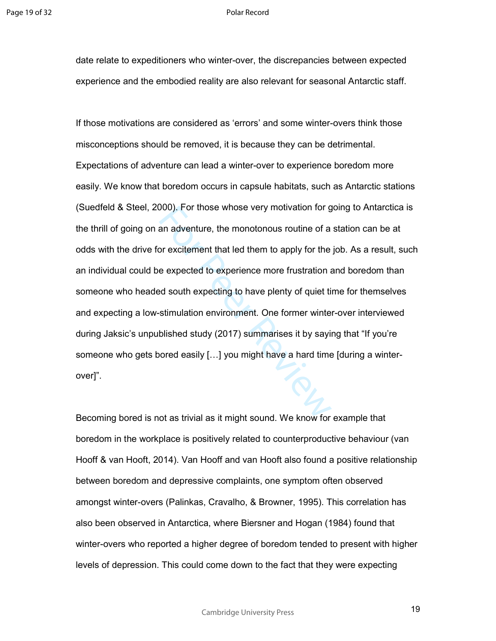date relate to expeditioners who winter-over, the discrepancies between expected experience and the embodied reality are also relevant for seasonal Antarctic staff.

J00). For those whose very motivation for g<br>an adventure, the monotonous routine of a<br>or excitement that led them to apply for the<br>e expected to experience more frustration and<br>soluth expecting to have plenty of quiet ti<br>s If those motivations are considered as 'errors' and some winter-overs think those misconceptions should be removed, it is because they can be detrimental. Expectations of adventure can lead a winter-over to experience boredom more easily. We know that boredom occurs in capsule habitats, such as Antarctic stations (Suedfeld & Steel, 2000). For those whose very motivation for going to Antarctica is the thrill of going on an adventure, the monotonous routine of a station can be at odds with the drive for excitement that led them to apply for the job. As a result, such an individual could be expected to experience more frustration and boredom than someone who headed south expecting to have plenty of quiet time for themselves and expecting a low-stimulation environment. One former winter-over interviewed during Jaksic's unpublished study (2017) summarises it by saying that "If you're someone who gets bored easily [...] you might have a hard time [during a winterover]".

Becoming bored is not as trivial as it might sound. We know for example that boredom in the workplace is positively related to counterproductive behaviour (van Hooff & van Hooft, 2014). Van Hooff and van Hooft also found a positive relationship between boredom and depressive complaints, one symptom often observed amongst winter-overs (Palinkas, Cravalho, & Browner, 1995). This correlation has also been observed in Antarctica, where Biersner and Hogan (1984) found that winter-overs who reported a higher degree of boredom tended to present with higher levels of depression. This could come down to the fact that they were expecting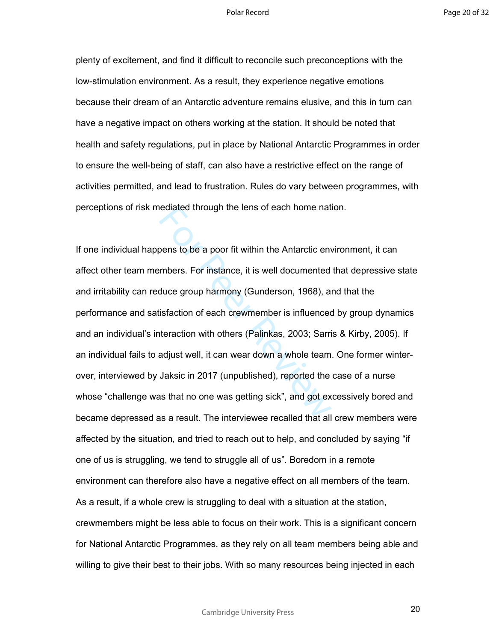plenty of excitement, and find it difficult to reconcile such preconceptions with the low-stimulation environment. As a result, they experience negative emotions because their dream of an Antarctic adventure remains elusive, and this in turn can have a negative impact on others working at the station. It should be noted that health and safety regulations, put in place by National Antarctic Programmes in order to ensure the well-being of staff, can also have a restrictive effect on the range of activities permitted, and lead to frustration. Rules do vary between programmes, with perceptions of risk mediated through the lens of each home nation.

ediated through the lens of each home nat<br>bens to be a poor fit within the Antarctic env<br>mbers. For instance, it is well documented<br>duce group harmony (Gunderson, 1968), an<br>isfaction of each crewmember is influenced<br>teract If one individual happens to be a poor fit within the Antarctic environment, it can affect other team members. For instance, it is well documented that depressive state and irritability can reduce group harmony (Gunderson, 1968), and that the performance and satisfaction of each crewmember is influenced by group dynamics and an individual's interaction with others (Palinkas, 2003; Sarris & Kirby, 2005). If an individual fails to adjust well, it can wear down a whole team. One former winterover, interviewed by Jaksic in 2017 (unpublished), reported the case of a nurse whose "challenge was that no one was getting sick", and got excessively bored and became depressed as a result. The interviewee recalled that all crew members were affected by the situation, and tried to reach out to help, and concluded by saying "if one of us is struggling, we tend to struggle all of us". Boredom in a remote environment can therefore also have a negative effect on all members of the team. As a result, if a whole crew is struggling to deal with a situation at the station, crewmembers might be less able to focus on their work. This is a significant concern for National Antarctic Programmes, as they rely on all team members being able and willing to give their best to their jobs. With so many resources being injected in each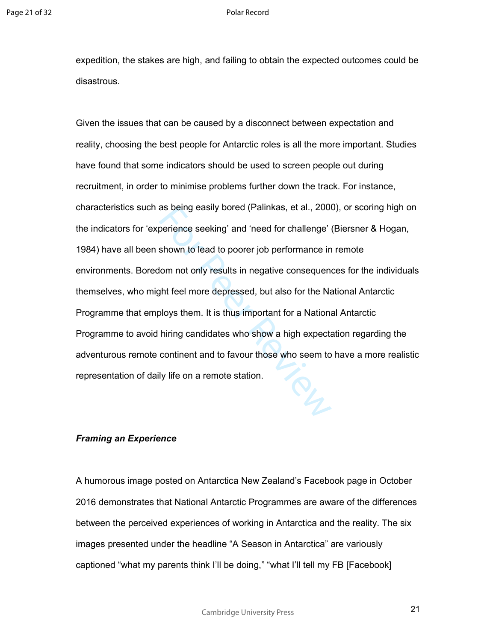expedition, the stakes are high, and failing to obtain the expected outcomes could be disastrous.

as being easily bored (Palinkas, et al., 2000<br>perience seeking' and 'need for challenge' is<br>shown to lead to poorer job performance in<br>lom not only results in negative consequent<br>ght feel more depressed, but also for the N Given the issues that can be caused by a disconnect between expectation and reality, choosing the best people for Antarctic roles is all the more important. Studies have found that some indicators should be used to screen people out during recruitment, in order to minimise problems further down the track. For instance, characteristics such as being easily bored (Palinkas, et al., 2000), or scoring high on the indicators for 'experience seeking' and 'need for challenge' (Biersner & Hogan, 1984) have all been shown to lead to poorer job performance in remote environments. Boredom not only results in negative consequences for the individuals themselves, who might feel more depressed, but also for the National Antarctic Programme that employs them. It is thus important for a National Antarctic Programme to avoid hiring candidates who show a high expectation regarding the adventurous remote continent and to favour those who seem to have a more realistic representation of daily life on a remote station.

# *Framing an Experience*

A humorous image posted on Antarctica New Zealand's Facebook page in October 2016 demonstrates that National Antarctic Programmes are aware of the differences between the perceived experiences of working in Antarctica and the reality. The six images presented under the headline "A Season in Antarctica" are variously captioned "what my parents think I'll be doing," "what I'll tell my FB [Facebook]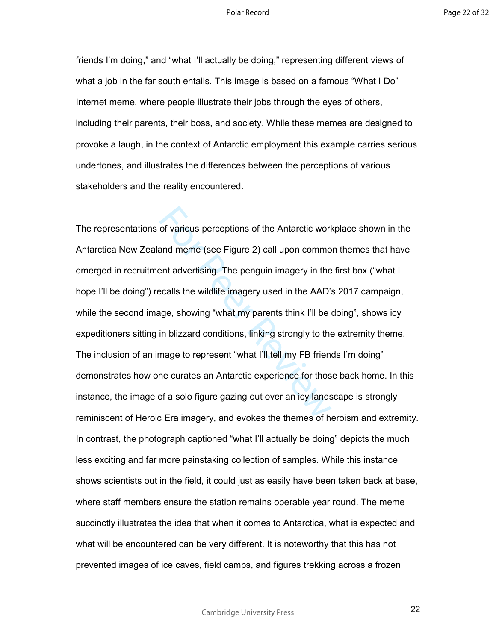friends I'm doing," and "what I'll actually be doing," representing different views of what a job in the far south entails. This image is based on a famous "What I Do" Internet meme, where people illustrate their jobs through the eyes of others, including their parents, their boss, and society. While these memes are designed to provoke a laugh, in the context of Antarctic employment this example carries serious undertones, and illustrates the differences between the perceptions of various stakeholders and the reality encountered.

of various perceptions of the Antarctic work<br>and meme (see Figure 2) call upon commo<br>ent advertising. The penguin imagery in the<br>ecalls the wildlife imagery used in the AAD's<br>age, showing "what my parents think I'll be in<br> The representations of various perceptions of the Antarctic workplace shown in the Antarctica New Zealand meme (see Figure 2) call upon common themes that have emerged in recruitment advertising. The penguin imagery in the first box ("what I hope I'll be doing") recalls the wildlife imagery used in the AAD's 2017 campaign, while the second image, showing "what my parents think I'll be doing", shows icy expeditioners sitting in blizzard conditions, linking strongly to the extremity theme. The inclusion of an image to represent "what I'll tell my FB friends I'm doing" demonstrates how one curates an Antarctic experience for those back home. In this instance, the image of a solo figure gazing out over an icy landscape is strongly reminiscent of Heroic Era imagery, and evokes the themes of heroism and extremity. In contrast, the photograph captioned "what I'll actually be doing" depicts the much less exciting and far more painstaking collection of samples. While this instance shows scientists out in the field, it could just as easily have been taken back at base, where staff members ensure the station remains operable year round. The meme succinctly illustrates the idea that when it comes to Antarctica, what is expected and what will be encountered can be very different. It is noteworthy that this has not prevented images of ice caves, field camps, and figures trekking across a frozen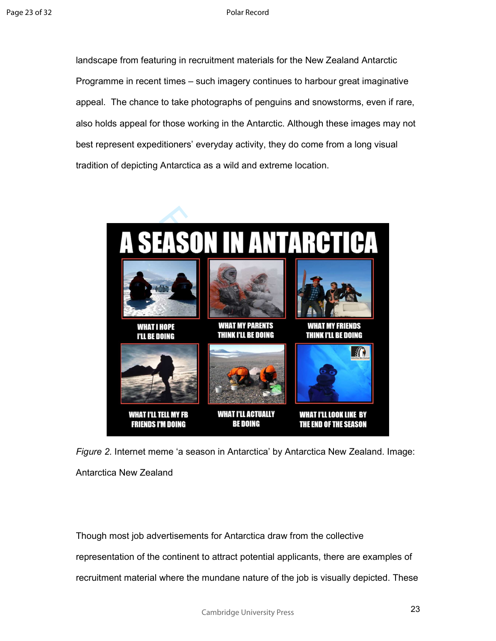landscape from featuring in recruitment materials for the New Zealand Antarctic Programme in recent times – such imagery continues to harbour great imaginative appeal. The chance to take photographs of penguins and snowstorms, even if rare, also holds appeal for those working in the Antarctic. Although these images may not best represent expeditioners' everyday activity, they do come from a long visual tradition of depicting Antarctica as a wild and extreme location.



*Figure 2*. Internet meme 'a season in Antarctica' by Antarctica New Zealand. Image: Antarctica New Zealand

Though most job advertisements for Antarctica draw from the collective representation of the continent to attract potential applicants, there are examples of recruitment material where the mundane nature of the job is visually depicted. These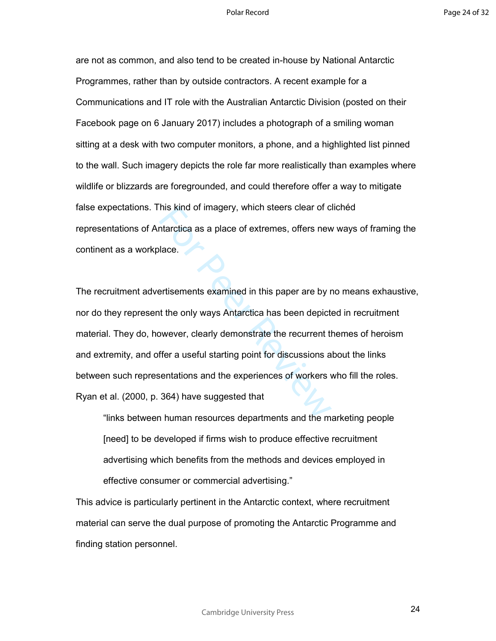are not as common, and also tend to be created in-house by National Antarctic Programmes, rather than by outside contractors. A recent example for a Communications and IT role with the Australian Antarctic Division (posted on their Facebook page on 6 January 2017) includes a photograph of a smiling woman sitting at a desk with two computer monitors, a phone, and a highlighted list pinned to the wall. Such imagery depicts the role far more realistically than examples where wildlife or blizzards are foregrounded, and could therefore offer a way to mitigate false expectations. This kind of imagery, which steers clear of clichéd representations of Antarctica as a place of extremes, offers new ways of framing the continent as a workplace.

his kind of imagery, which steers clear of c<br>tharctica as a place of extremes, offers new<br>lace.<br>For Perissements examined in this paper are by r<br>artisements examined in this paper are by r<br>of the only ways Antarctica has b The recruitment advertisements examined in this paper are by no means exhaustive, nor do they represent the only ways Antarctica has been depicted in recruitment material. They do, however, clearly demonstrate the recurrent themes of heroism and extremity, and offer a useful starting point for discussions about the links between such representations and the experiences of workers who fill the roles. Ryan et al. (2000, p. 364) have suggested that

"links between human resources departments and the marketing people [need] to be developed if firms wish to produce effective recruitment advertising which benefits from the methods and devices employed in effective consumer or commercial advertising."

This advice is particularly pertinent in the Antarctic context, where recruitment material can serve the dual purpose of promoting the Antarctic Programme and finding station personnel.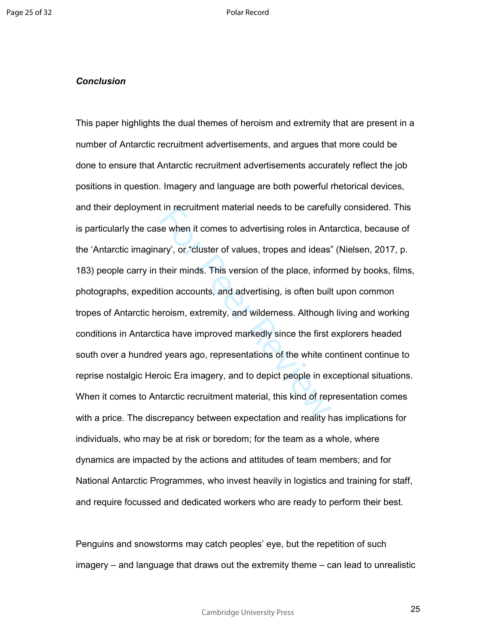### *Conclusion*

It in recruitment material needs to be carefuse when it comes to advertising roles in Ant<br>ary', or "cluster of values, tropes and ideas'<br>their minds. This version of the place, infori<br>tion accounts, and advertising, is oft This paper highlights the dual themes of heroism and extremity that are present in a number of Antarctic recruitment advertisements, and argues that more could be done to ensure that Antarctic recruitment advertisements accurately reflect the job positions in question. Imagery and language are both powerful rhetorical devices, and their deployment in recruitment material needs to be carefully considered. This is particularly the case when it comes to advertising roles in Antarctica, because of the 'Antarctic imaginary', or "cluster of values, tropes and ideas" (Nielsen, 2017, p. 183) people carry in their minds. This version of the place, informed by books, films, photographs, expedition accounts, and advertising, is often built upon common tropes of Antarctic heroism, extremity, and wilderness. Although living and working conditions in Antarctica have improved markedly since the first explorers headed south over a hundred years ago, representations of the white continent continue to reprise nostalgic Heroic Era imagery, and to depict people in exceptional situations. When it comes to Antarctic recruitment material, this kind of representation comes with a price. The discrepancy between expectation and reality has implications for individuals, who may be at risk or boredom; for the team as a whole, where dynamics are impacted by the actions and attitudes of team members; and for National Antarctic Programmes, who invest heavily in logistics and training for staff, and require focussed and dedicated workers who are ready to perform their best.

Penguins and snowstorms may catch peoples' eye, but the repetition of such imagery – and language that draws out the extremity theme – can lead to unrealistic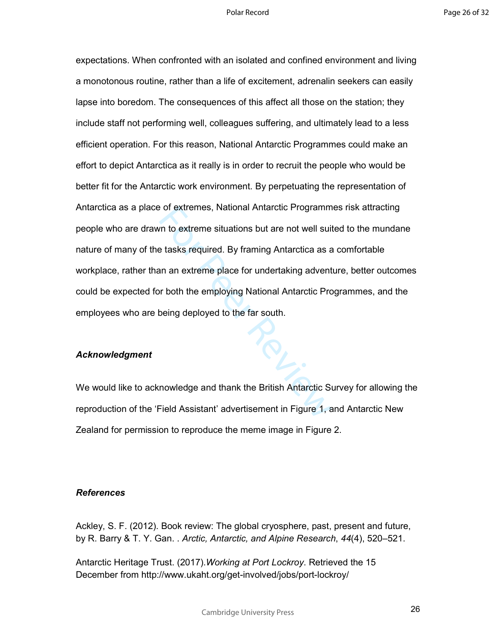For extremes, National Antarctic Programm<br>
The to extreme situations but are not well suite<br>
The stake required. By framing Antarctica as a<br>
The stake required. By framing Antarctica as a<br>
The stake required by Mational An expectations. When confronted with an isolated and confined environment and living a monotonous routine, rather than a life of excitement, adrenalin seekers can easily lapse into boredom. The consequences of this affect all those on the station; they include staff not performing well, colleagues suffering, and ultimately lead to a less efficient operation. For this reason, National Antarctic Programmes could make an effort to depict Antarctica as it really is in order to recruit the people who would be better fit for the Antarctic work environment. By perpetuating the representation of Antarctica as a place of extremes, National Antarctic Programmes risk attracting people who are drawn to extreme situations but are not well suited to the mundane nature of many of the tasks required. By framing Antarctica as a comfortable workplace, rather than an extreme place for undertaking adventure, better outcomes could be expected for both the employing National Antarctic Programmes, and the employees who are being deployed to the far south.

## *Acknowledgment*

We would like to acknowledge and thank the British Antarctic Survey for allowing the reproduction of the 'Field Assistant' advertisement in Figure 1, and Antarctic New Zealand for permission to reproduce the meme image in Figure 2.

### *References*

Ackley, S. F. (2012). Book review: The global cryosphere, past, present and future, by R. Barry & T. Y. Gan. . *Arctic, Antarctic, and Alpine Research*, *44*(4), 520–521.

Antarctic Heritage Trust. (2017).*Working at Port Lockroy*. Retrieved the 15 December from http://www.ukaht.org/get-involved/jobs/port-lockroy/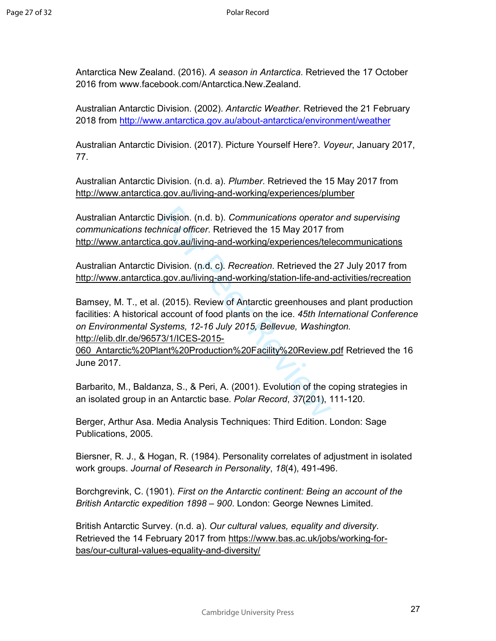Antarctica New Zealand. (2016). *A season in Antarctica*. Retrieved the 17 October 2016 from www.facebook.com/Antarctica.New.Zealand.

Australian Antarctic Division. (2002). *Antarctic Weather*. Retrieved the 21 February 2018 from http://www.antarctica.gov.au/about-antarctica/environment/weather

Australian Antarctic Division. (2017). Picture Yourself Here?. *Voyeur*, January 2017, 77.

Australian Antarctic Division. (n.d. a). *Plumber*. Retrieved the 15 May 2017 from http://www.antarctica.gov.au/living-and-working/experiences/plumber

Australian Antarctic Division. (n.d. b). *Communications operator and supervising communications technical officer*. Retrieved the 15 May 2017 from http://www.antarctica.gov.au/living-and-working/experiences/telecommunications

Australian Antarctic Division. (n.d. c). *Recreation*. Retrieved the 27 July 2017 from http://www.antarctica.gov.au/living-and-working/station-life-and-activities/recreation

Division. (n.d. b). Communications operator<br>
inical officer. Retrieved the 15 May 2017 from<br>
1.gov.au/living-and-working/experiences/tell<br>
Division. (n.d. c). *Recreation*. Retrieved the<br>
1.gov.au/living-and-working/statio Bamsey, M. T., et al. (2015). Review of Antarctic greenhouses and plant production facilities: A historical account of food plants on the ice. *45th International Conference on Environmental Systems, 12-16 July 2015, Bellevue, Washington.*  http://elib.dlr.de/96573/1/ICES-2015-

060\_Antarctic%20Plant%20Production%20Facility%20Review.pdf Retrieved the 16 June 2017.

Barbarito, M., Baldanza, S., & Peri, A. (2001). Evolution of the coping strategies in an isolated group in an Antarctic base. *Polar Record*, *37*(201), 111-120.

Berger, Arthur Asa. Media Analysis Techniques: Third Edition. London: Sage Publications, 2005.

Biersner, R. J., & Hogan, R. (1984). Personality correlates of adjustment in isolated work groups. *Journal of Research in Personality*, *18*(4), 491-496.

Borchgrevink, C. (1901). *First on the Antarctic continent: Being an account of the British Antarctic expedition 1898 – 900*. London: George Newnes Limited.

British Antarctic Survey. (n.d. a). *Our cultural values, equality and diversity*. Retrieved the 14 February 2017 from https://www.bas.ac.uk/jobs/working-forbas/our-cultural-values-equality-and-diversity/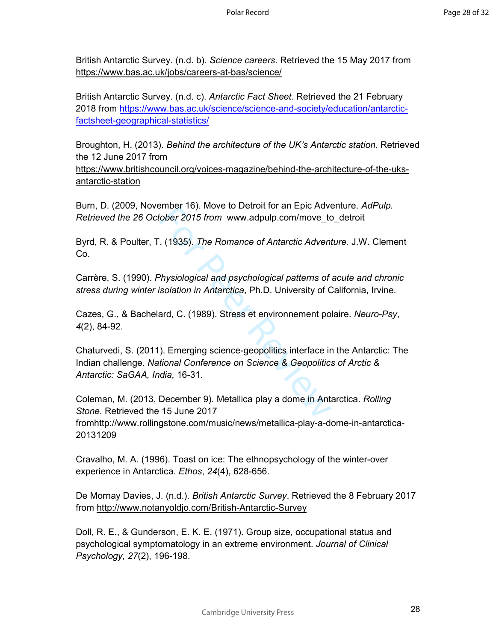British Antarctic Survey. (n.d. b). *Science careers*. Retrieved the 15 May 2017 from https://www.bas.ac.uk/jobs/careers-at-bas/science/

British Antarctic Survey. (n.d. c). *Antarctic Fact Sheet*. Retrieved the 21 February 2018 from https://www.bas.ac.uk/science/science-and-society/education/antarcticfactsheet-geographical-statistics/

Broughton, H. (2013). *Behind the architecture of the UK's Antarctic station*. Retrieved the 12 June 2017 from

https://www.britishcouncil.org/voices-magazine/behind-the-architecture-of-the-uksantarctic-station

Burn, D. (2009, November 16). Move to Detroit for an Epic Adventure. *AdPulp. Retrieved the 26 October 2015 from* www.adpulp.com/move\_to\_detroit

Byrd, R. & Poulter, T. (1935). *The Romance of Antarctic Adventure.* J.W. Clement Co.

Carrère, S. (1990). *Physiological and psychological patterns of acute and chronic stress during winter isolation in Antarctica*, Ph.D. University of California, Irvine.

Cazes, G., & Bachelard, C. (1989). Stress et environnement polaire. *Neuro-Psy*, *4*(2), 84-92.

Frimer Toj. Move to Detroit for all Epic Adveragnetion (1935). The Romance of Antarctic Adventure to 1935). The Romance of Antarctic Adventure of Antarctic Adventure Physiological and psychological patterns of isolation in Chaturvedi, S. (2011). Emerging science-geopolitics interface in the Antarctic: The Indian challenge. *National Conference on Science & Geopolitics of Arctic & Antarctic: SaGAA, India,* 16-31.

Coleman, M. (2013, December 9). Metallica play a dome in Antarctica. *Rolling Stone*. Retrieved the 15 June 2017 fromhttp://www.rollingstone.com/music/news/metallica-play-a-dome-in-antarctica-20131209

Cravalho, M. A. (1996). Toast on ice: The ethnopsychology of the winter-over experience in Antarctica. *Ethos*, *24*(4), 628-656.

De Mornay Davies, J. (n.d.). *British Antarctic Survey*. Retrieved the 8 February 2017 from http://www.notanyoldjo.com/British-Antarctic-Survey

Doll, R. E., & Gunderson, E. K. E. (1971). Group size, occupational status and psychological symptomatology in an extreme environment. *Journal of Clinical Psychology, 27*(2), 196-198.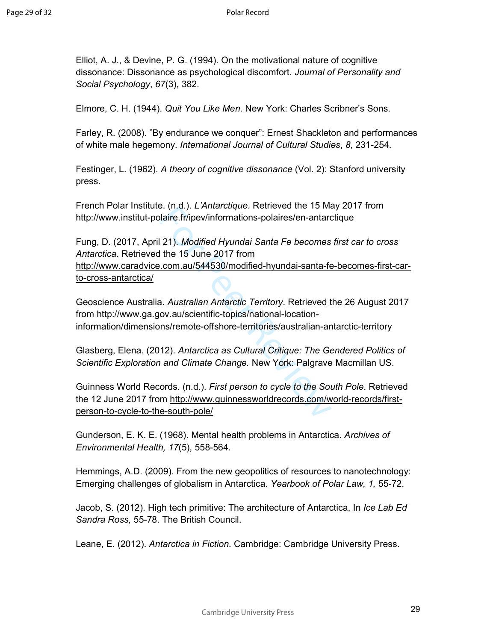Elliot, A. J., & Devine, P. G. (1994). On the motivational nature of cognitive dissonance: Dissonance as psychological discomfort. *Journal of Personality and Social Psychology*, *67*(3), 382.

Elmore, C. H. (1944). *Quit You Like Men*. New York: Charles Scribner's Sons.

Farley, R. (2008). "By endurance we conquer": Ernest Shackleton and performances of white male hegemony. *International Journal of Cultural Studies*, *8*, 231-254.

Festinger, L. (1962). *A theory of cognitive dissonance* (Vol. 2): Stanford university press.

French Polar Institute. (n.d.). *L'Antarctique*. Retrieved the 15 May 2017 from http://www.institut-polaire.fr/ipev/informations-polaires/en-antarctique

E. (i.l.d.). *L* Amalcuque. Netrieved the 15 Malaire.fr/ipev/informations-polaires/en-antard<br>121). *Modified Hyundai Santa Fe becomes*<br>1 the 15 June 2017 from<br>1.com.au/544530/modified-hyundai-santa-fe<br>1.com.au/544530/modif Fung, D. (2017, April 21). *Modified Hyundai Santa Fe becomes first car to cross Antarctica*. Retrieved the 15 June 2017 from http://www.caradvice.com.au/544530/modified-hyundai-santa-fe-becomes-first-carto-cross-antarctica/

Geoscience Australia. *Australian Antarctic Territory*. Retrieved the 26 August 2017 from http://www.ga.gov.au/scientific-topics/national-locationinformation/dimensions/remote-offshore-territories/australian-antarctic-territory

Glasberg, Elena. (2012). *Antarctica as Cultural Critique: The Gendered Politics of Scientific Exploration and Climate Change.* New York: Palgrave Macmillan US.

Guinness World Records*.* (n.d.). *First person to cycle to the South Pole*. Retrieved the 12 June 2017 from http://www.guinnessworldrecords.com/world-records/firstperson-to-cycle-to-the-south-pole/

Gunderson, E. K. E. (1968). Mental health problems in Antarctica. *Archives of Environmental Health, 17*(5), 558-564.

Hemmings, A.D. (2009). From the new geopolitics of resources to nanotechnology: Emerging challenges of globalism in Antarctica. *Yearbook of Polar Law, 1,* 55-72.

Jacob, S. (2012). High tech primitive: The architecture of Antarctica, In *Ice Lab Ed Sandra Ross,* 55-78. The British Council.

Leane, E. (2012). *Antarctica in Fiction*. Cambridge: Cambridge University Press.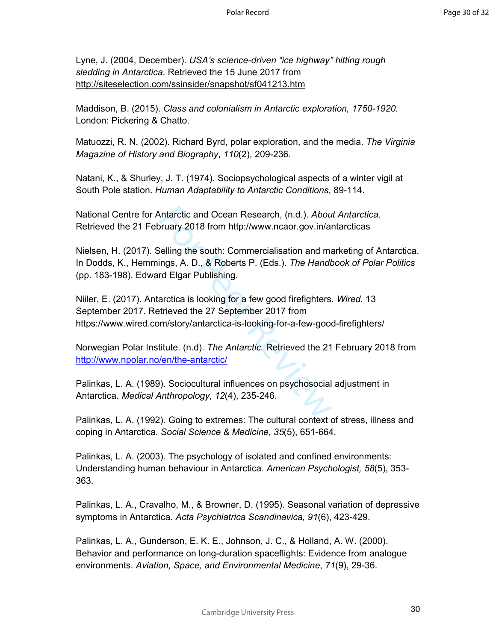Lyne, J. (2004, December). *USA's science-driven "ice highway" hitting rough sledding in Antarctica*. Retrieved the 15 June 2017 from http://siteselection.com/ssinsider/snapshot/sf041213.htm

Maddison, B. (2015). *Class and colonialism in Antarctic exploration, 1750-1920.* London: Pickering & Chatto.

Matuozzi, R. N. (2002). Richard Byrd, polar exploration, and the media. *The Virginia Magazine of History and Biography*, *110*(2), 209-236.

Natani, K., & Shurley, J. T. (1974). Sociopsychological aspects of a winter vigil at South Pole station. *Human Adaptability to Antarctic Conditions*, 89-114.

National Centre for Antarctic and Ocean Research, (n.d.). *About Antarctica*. Retrieved the 21 February 2018 from http://www.ncaor.gov.in/antarcticas

Nielsen, H. (2017). Selling the south: Commercialisation and marketing of Antarctica. In Dodds, K., Hemmings, A. D., & Roberts P. (Eds.). *The Handbook of Polar Politics* (pp. 183-198). Edward Elgar Publishing.

Antarctic and Ocean Research, (n.d.). *Abou*<br>
Selling the south: Commercialisation and maings, A. D., & Roberts P. (Eds.). *The Handk*<br>
Transported Elgar Publishing.<br>
Arctica is looking for a few good firefighters<br>
trieved Niiler, E. (2017). Antarctica is looking for a few good firefighters. *Wired.* 13 September 2017. Retrieved the 27 September 2017 from https://www.wired.com/story/antarctica-is-looking-for-a-few-good-firefighters/

Norwegian Polar Institute. (n.d). *The Antarctic.* Retrieved the 21 February 2018 from http://www.npolar.no/en/the-antarctic/

Palinkas, L. A. (1989). Sociocultural influences on psychosocial adjustment in Antarctica. *Medical Anthropology*, *12*(4), 235-246.

Palinkas, L. A. (1992). Going to extremes: The cultural context of stress, illness and coping in Antarctica. *Social Science & Medicine*, *35*(5), 651-664.

Palinkas, L. A. (2003). The psychology of isolated and confined environments: Understanding human behaviour in Antarctica. *American Psychologist, 58*(5), 353- 363.

Palinkas, L. A., Cravalho, M., & Browner, D. (1995). Seasonal variation of depressive symptoms in Antarctica. *Acta Psychiatrica Scandinavica, 91*(6), 423-429.

Palinkas, L. A., Gunderson, E. K. E., Johnson, J. C., & Holland, A. W. (2000). Behavior and performance on long-duration spaceflights: Evidence from analogue environments. *Aviation, Space, and Environmental Medicine*, *71*(9), 29-36.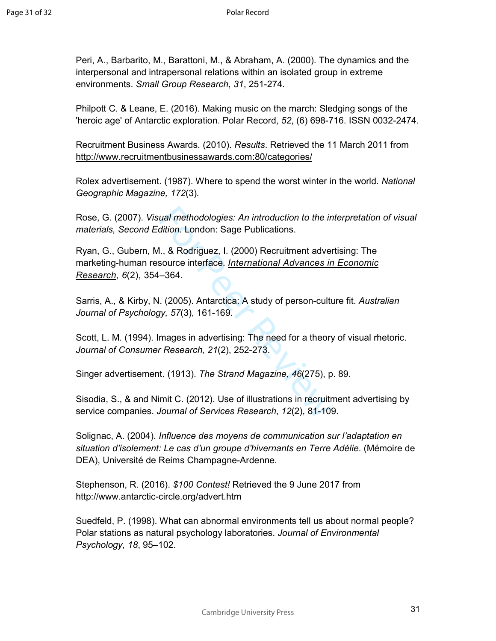Peri, A., Barbarito, M., Barattoni, M., & Abraham, A. (2000). The dynamics and the interpersonal and intrapersonal relations within an isolated group in extreme environments. *Small Group Research*, *31*, 251-274.

Philpott C. & Leane, E. (2016). Making music on the march: Sledging songs of the 'heroic age' of Antarctic exploration. Polar Record, *52*, (6) 698-716. ISSN 0032-2474.

Recruitment Business Awards. (2010). *Results*. Retrieved the 11 March 2011 from http://www.recruitmentbusinessawards.com:80/categories/

Rolex advertisement. (1987). Where to spend the worst winter in the world. *National Geographic Magazine, 172*(3) *.*

Rose, G. (2007). *Visual methodologies: An introduction to the interpretation of visual materials, Second Edition.* London: Sage Publications.

ual methodologies: An introduction to the in<br>dition. London: Sage Publications.<br>I., & Rodriguez, I. (2000) Recruitment adve<br>source interface. International Advances in<br>-364.<br>I. (2005). Antarctica: A study of person-cultury Ryan, G., Gubern, M., & Rodriguez, I. (2000) Recruitment advertising: The marketing-human resource interface. *International Advances in Economic Research*, *6*(2), 354–364.

Sarris, A., & Kirby, N. (2005). Antarctica: A study of person-culture fit. *Australian Journal of Psychology, 57*(3), 161-169.

Scott, L. M. (1994). Images in advertising: The need for a theory of visual rhetoric. *Journal of Consumer Research, 21*(2), 252-273.

Singer advertisement. (1913). *The Strand Magazine, 46*(275), p. 89.

Sisodia, S., & and Nimit C. (2012). Use of illustrations in recruitment advertising by service companies. *Journal of Services Research*, *12*(2), 81-109.

Solignac, A. (2004). *Influence des moyens de communication sur l'adaptation en situation d'isolement: Le cas d'un groupe d'hivernants en Terre Adélie*. (Mémoire de DEA), Université de Reims Champagne-Ardenne.

Stephenson, R. (2016). *\$100 Contest!* Retrieved the 9 June 2017 from http://www.antarctic-circle.org/advert.htm

Suedfeld, P. (1998). What can abnormal environments tell us about normal people? Polar stations as natural psychology laboratories. *Journal of Environmental Psychology, 18*, 95–102.